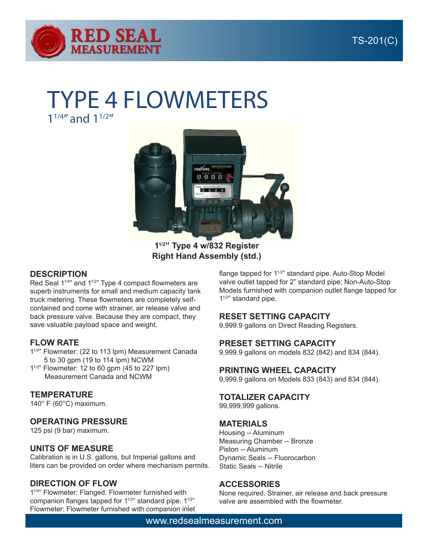

# TYPE 4 FLOWMETERS

 $1^{1/4}$  and  $1^{1/2}$ 



**11/2" Type 4 w/832 Register Right Hand Assembly (std.)**

### **DESCRIPTION**

Red Seal 1<sup>1/4</sup>" and 1<sup>1/2</sup>" Type 4 compact flowmeters are superb instruments for small and medium capacity tank truck metering. These flowmeters are completely selfcontained and come with strainer, air release valve and back pressure valve. Because they are compact, they save valuable payload space and weight.

## **FLOW RATE**

- 1<sup>1/4</sup>" Flowmeter: (22 to 113 lpm) Measurement Canada 5 to 30 gpm (19 to 114 lpm) NCWM
- $1^{1/2}$ " Flowmeter: 12 to 60 gpm (45 to 227 lpm) Measurement Canada and NCWM

## **TEMPERATURE**

140° F (60°C) maximum.

## **OPERATING PRESSURE**

125 psi (9 bar) maximum.

## **UNITS OF MEASURE**

Calibration is in U.S. gallons, but Imperial gallons and liters can be provided on order where mechanism permits.

## **DIRECTION OF FLOW**

11/4" Flowmeter: Flanged. Flowmeter furnished with companion flanges tapped for  $1^{1/2}$ " standard pipe.  $1^{1/2}$ " Flowmeter: Flowmeter furnished with companion inlet flange tapped for 1<sup>1/2</sup>" standard pipe. Auto-Stop Model valve outlet tapped for 2" standard pipe; Non-Auto-Stop Models furnished with companion outlet flange tapped for 1<sup>1/2"</sup> standard pipe.

#### **RESET SETTING CAPACITY**

9,999.9 gallons on Direct Reading Registers.

#### **PRESET SETTING CAPACITY**

9,999.9 gallons on models 832 (842) and 834 (844).

#### **PRINTING WHEEL CAPACITY**

9,999.9 gallons on Models 833 (843) and 834 (844).

#### **TOTALIZER CAPACITY**

99,999,999 gallons.

#### **MATERIALS**

Housing -- Aluminum Measuring Chamber -- Bronze Piston -- Aluminum Dynamic Seals -- Fluorocarbon Static Seals -- Nitrile

#### **ACCESSORIES**

None required. Strainer, air release and back pressure valve are assembled with the flowmeter.